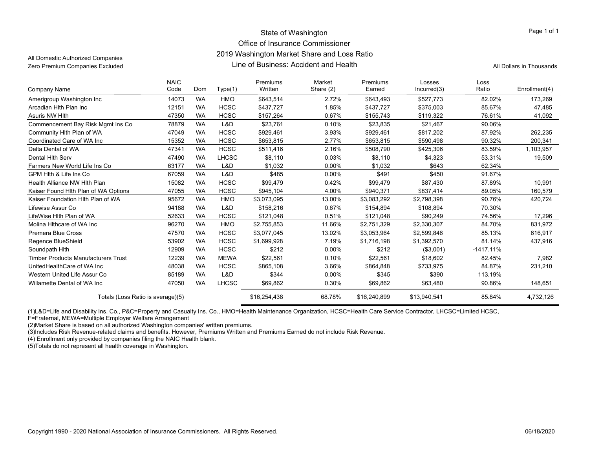### State of Washington Office of Insurance Commissioner 2019 Washington Market Share and Loss Ratio Line of Business: Accident and HealthZero Premium Companies Excluded **All Dollars in Thousands** Line of Business: Accident and Health All Dollars in Thousands

All Domestic Authorized Companies

Page 1 of 1

| Company Name                               | <b>NAIC</b><br>Code | Dom       | Type(1)      | Premiums<br>Written | Market<br>Share (2) | Premiums<br>Earned | Losses<br>Incurred(3) | Loss<br>Ratio | Enrollment(4) |
|--------------------------------------------|---------------------|-----------|--------------|---------------------|---------------------|--------------------|-----------------------|---------------|---------------|
| Amerigroup Washington Inc                  | 14073               | <b>WA</b> | <b>HMO</b>   | \$643,514           | 2.72%               | \$643,493          | \$527,773             | 82.02%        | 173,269       |
| Arcadian Hith Plan Inc                     | 12151               | <b>WA</b> | <b>HCSC</b>  | \$437,727           | 1.85%               | \$437,727          | \$375,003             | 85.67%        | 47,485        |
| Asuris NW Hith                             | 47350               | <b>WA</b> | <b>HCSC</b>  | \$157,264           | 0.67%               | \$155,743          | \$119,322             | 76.61%        | 41,092        |
| Commencement Bay Risk Mgmt Ins Co          | 78879               | <b>WA</b> | L&D          | \$23,761            | 0.10%               | \$23,835           | \$21,467              | 90.06%        |               |
| Community Hlth Plan of WA                  | 47049               | <b>WA</b> | <b>HCSC</b>  | \$929,461           | 3.93%               | \$929,461          | \$817,202             | 87.92%        | 262,235       |
| Coordinated Care of WA Inc                 | 15352               | <b>WA</b> | <b>HCSC</b>  | \$653,815           | 2.77%               | \$653,815          | \$590,498             | 90.32%        | 200,341       |
| Delta Dental of WA                         | 47341               | <b>WA</b> | <b>HCSC</b>  | \$511,416           | 2.16%               | \$508,790          | \$425,306             | 83.59%        | 1,103,957     |
| Dental Hith Serv                           | 47490               | <b>WA</b> | <b>LHCSC</b> | \$8,110             | 0.03%               | \$8,110            | \$4,323               | 53.31%        | 19,509        |
| Farmers New World Life Ins Co              | 63177               | <b>WA</b> | L&D          | \$1,032             | $0.00\%$            | \$1,032            | \$643                 | 62.34%        |               |
| GPM Hith & Life Ins Co                     | 67059               | <b>WA</b> | L&D          | \$485               | 0.00%               | \$491              | \$450                 | 91.67%        |               |
| Health Alliance NW Hith Plan               | 15082               | <b>WA</b> | <b>HCSC</b>  | \$99,479            | 0.42%               | \$99,479           | \$87,430              | 87.89%        | 10,991        |
| Kaiser Found Hith Plan of WA Options       | 47055               | <b>WA</b> | <b>HCSC</b>  | \$945,104           | 4.00%               | \$940,371          | \$837,414             | 89.05%        | 160,579       |
| Kaiser Foundation Hith Plan of WA          | 95672               | <b>WA</b> | <b>HMO</b>   | \$3,073,095         | 13.00%              | \$3,083,292        | \$2,798,398           | 90.76%        | 420,724       |
| Lifewise Assur Co                          | 94188               | <b>WA</b> | L&D          | \$158,216           | 0.67%               | \$154,894          | \$108,894             | 70.30%        |               |
| LifeWise Hlth Plan of WA                   | 52633               | <b>WA</b> | <b>HCSC</b>  | \$121,048           | 0.51%               | \$121,048          | \$90,249              | 74.56%        | 17,296        |
| Molina Hithcare of WA Inc                  | 96270               | <b>WA</b> | <b>HMO</b>   | \$2,755,853         | 11.66%              | \$2,751,329        | \$2,330,307           | 84.70%        | 831,972       |
| <b>Premera Blue Cross</b>                  | 47570               | <b>WA</b> | <b>HCSC</b>  | \$3,077,045         | 13.02%              | \$3,053,964        | \$2,599,846           | 85.13%        | 616,917       |
| Regence BlueShield                         | 53902               | <b>WA</b> | <b>HCSC</b>  | \$1,699,928         | 7.19%               | \$1,716,198        | \$1,392,570           | 81.14%        | 437,916       |
| Soundpath Hith                             | 12909               | <b>WA</b> | <b>HCSC</b>  | \$212               | 0.00%               | \$212              | (\$3,001)             | $-1417.11%$   |               |
| <b>Timber Products Manufacturers Trust</b> | 12239               | <b>WA</b> | <b>MEWA</b>  | \$22,561            | 0.10%               | \$22,561           | \$18,602              | 82.45%        | 7,982         |
| UnitedHealthCare of WA Inc                 | 48038               | <b>WA</b> | <b>HCSC</b>  | \$865,108           | 3.66%               | \$864,848          | \$733,975             | 84.87%        | 231,210       |
| Western United Life Assur Co               | 85189               | <b>WA</b> | L&D          | \$344               | $0.00\%$            | \$345              | \$390                 | 113.19%       |               |
| Willamette Dental of WA Inc                | 47050               | <b>WA</b> | <b>LHCSC</b> | \$69,862            | 0.30%               | \$69,862           | \$63,480              | 90.86%        | 148,651       |
| Totals (Loss Ratio is average)(5)          |                     |           |              | \$16,254,438        | 68.78%              | \$16,240,899       | \$13,940,541          | 85.84%        | 4,732,126     |

(1)L&D=Life and Disability Ins. Co., P&C=Property and Casualty Ins. Co., HMO=Health Maintenance Organization, HCSC=Health Care Service Contractor, LHCSC=Limited HCSC,

F=Fraternal, MEWA=Multiple Employer Welfare Arrangement

(2)Market Share is based on all authorized Washington companies' written premiums.

(3)Includes Risk Revenue-related claims and benefits. However, Premiums Written and Premiums Earned do not include Risk Revenue.

(4) Enrollment only provided by companies filing the NAIC Health blank.

(5)Totals do not represent all health coverage in Washington.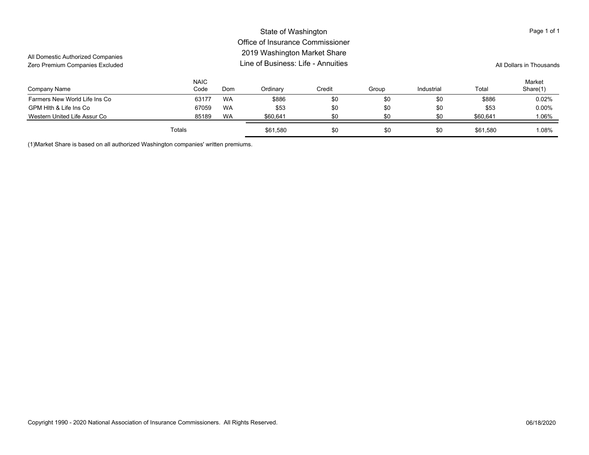#### Company Name NAICCode Ordinary Credit Group Industrial Total MarketShare(1) Domm Ordinary Credit Group Industrial Total Share(1) State of Washington Office of Insurance Commissioner2019 Washington Market Share Line of Business: Life - AnnuitiesAll Domestic Authorized Companies Zero Premium Companies Excluded **All Dollars in Thousands** Line of Business: Life - Annuities All Dollars in Thousands Page 1 of 1 Farmers New World Life Ins Co **63177 WA** \$886 \$0 \$0 \$0 \$886 \$0 \$886 0.02% WA \$886 \$0 \$0 \$0 \$0 \$0 \$886 0.02 GPM Hlth & Life Ins Co 67059 WA \$53 \$0 \$0 \$0 \$53 0.00% WA \$53 \$0 \$0 \$0 \$0 \$53 0.00 Western United Life Assur Co **85189 WA** \$60,641 \$0 \$0 \$0 \$60,641 \$0 \$60,641 1.06% Totals\$61,580 \$0 \$0 \$0 \$0 \$0 \$0 \$1.08% \$1,580 \$61,580 \$61,580

(1)Market Share is based on all authorized Washington companies' written premiums.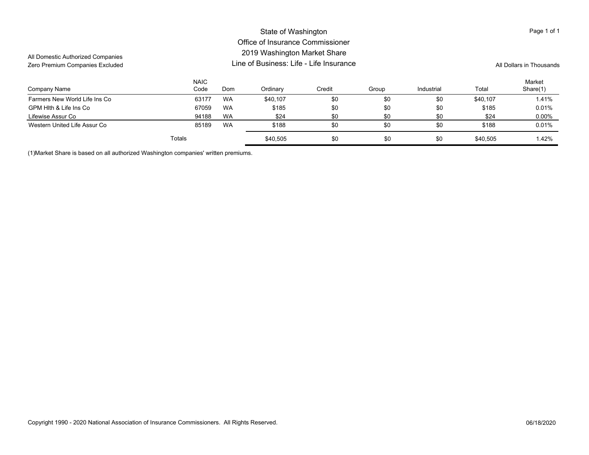#### Company Name NAICCode Ordinary Credit Group Industrial Total Market Domm Ordinary Credit Group Industrial Total Share(1) State of Washington Office of Insurance Commissioner2019 Washington Market Share Line of Business: Life - Life InsuranceAll Domestic Authorized Companies Zero Premium Companies Excluded **All Dollars in Thousands All Dollars in Thousands All Dollars in Thousands** Page 1 of 1 Farmers New World Life Ins Co **63177 WA** \$40,107 \$0 \$0 \$40,107 \$1.41% Bermers New World Life Ins Co GPM Hlth & Life Ins Co 67059 WA \$185 \$0 \$0 \$185 0.01% WA \$185 \$0 \$0 \$0 \$0 \$185 0.01 Lifewise Assur Co 94188 WA \$24 \$0 \$0 \$24 0.00% WA \$24 \$0 \$0 \$0 \$0 \$0 \$24 0.00 Western United Life Assur Co 85189 \$188 \$0 \$0 \$0 \$188 0.01%WA \$188 \$0 \$0 \$0 \$0 \$188 0.01 Totals\$ \$40,505 \$90 \$0 \$0 \$0 \$40,505 \$40,505 \$40,505 \$40,505 \$40,505 \$40,505

(1)Market Share is based on all authorized Washington companies' written premiums.